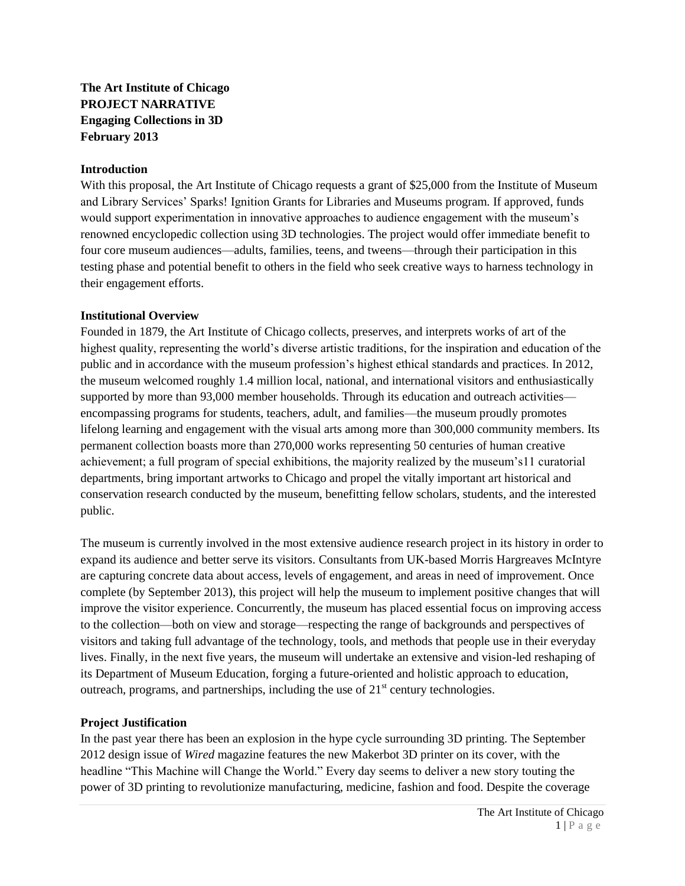**The Art Institute of Chicago PROJECT NARRATIVE Engaging Collections in 3D February 2013**

#### **Introduction**

With this proposal, the Art Institute of Chicago requests a grant of \$25,000 from the Institute of Museum and Library Services' Sparks! Ignition Grants for Libraries and Museums program. If approved, funds would support experimentation in innovative approaches to audience engagement with the museum's renowned encyclopedic collection using 3D technologies. The project would offer immediate benefit to four core museum audiences—adults, families, teens, and tweens—through their participation in this testing phase and potential benefit to others in the field who seek creative ways to harness technology in their engagement efforts.

#### **Institutional Overview**

Founded in 1879, the Art Institute of Chicago collects, preserves, and interprets works of art of the highest quality, representing the world's diverse artistic traditions, for the inspiration and education of the public and in accordance with the museum profession's highest ethical standards and practices. In 2012, the museum welcomed roughly 1.4 million local, national, and international visitors and enthusiastically supported by more than 93,000 member households. Through its education and outreach activities encompassing programs for students, teachers, adult, and families—the museum proudly promotes lifelong learning and engagement with the visual arts among more than 300,000 community members. Its permanent collection boasts more than 270,000 works representing 50 centuries of human creative achievement; a full program of special exhibitions, the majority realized by the museum's11 curatorial departments, bring important artworks to Chicago and propel the vitally important art historical and conservation research conducted by the museum, benefitting fellow scholars, students, and the interested public.

The museum is currently involved in the most extensive audience research project in its history in order to expand its audience and better serve its visitors. Consultants from UK-based Morris Hargreaves McIntyre are capturing concrete data about access, levels of engagement, and areas in need of improvement. Once complete (by September 2013), this project will help the museum to implement positive changes that will improve the visitor experience. Concurrently, the museum has placed essential focus on improving access to the collection—both on view and storage—respecting the range of backgrounds and perspectives of visitors and taking full advantage of the technology, tools, and methods that people use in their everyday lives. Finally, in the next five years, the museum will undertake an extensive and vision-led reshaping of its Department of Museum Education, forging a future-oriented and holistic approach to education, outreach, programs, and partnerships, including the use of  $21<sup>st</sup>$  century technologies.

### **Project Justification**

In the past year there has been an explosion in the hype cycle surrounding 3D printing. The September 2012 design issue of *Wired* magazine features the new Makerbot 3D printer on its cover, with the headline "This Machine will Change the World." Every day seems to deliver a new story touting the power of 3D printing to revolutionize manufacturing, medicine, fashion and food. Despite the coverage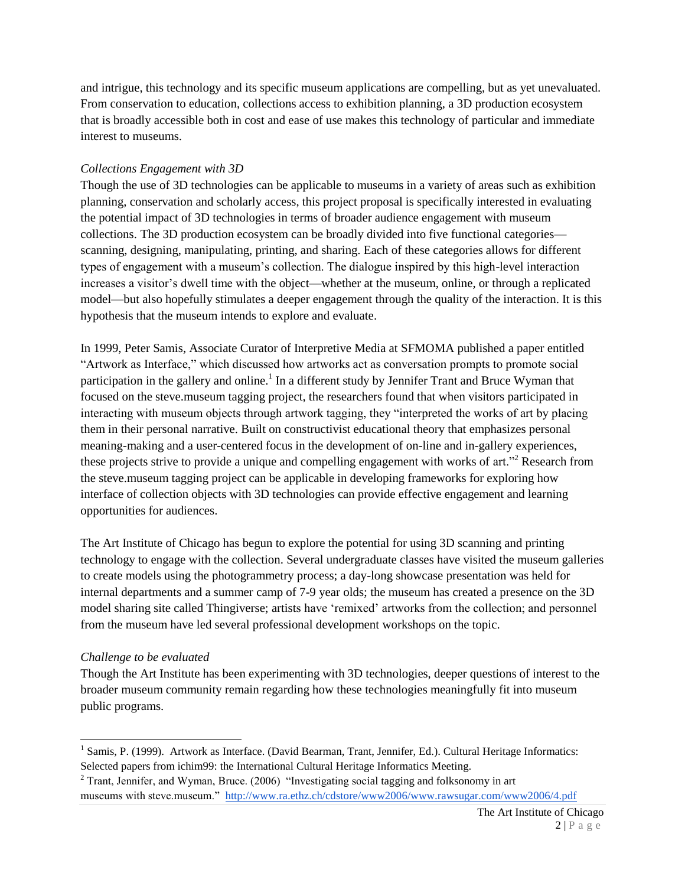and intrigue, this technology and its specific museum applications are compelling, but as yet unevaluated. From conservation to education, collections access to exhibition planning, a 3D production ecosystem that is broadly accessible both in cost and ease of use makes this technology of particular and immediate interest to museums.

### *Collections Engagement with 3D*

Though the use of 3D technologies can be applicable to museums in a variety of areas such as exhibition planning, conservation and scholarly access, this project proposal is specifically interested in evaluating the potential impact of 3D technologies in terms of broader audience engagement with museum collections. The 3D production ecosystem can be broadly divided into five functional categories scanning, designing, manipulating, printing, and sharing. Each of these categories allows for different types of engagement with a museum's collection. The dialogue inspired by this high-level interaction increases a visitor's dwell time with the object—whether at the museum, online, or through a replicated model—but also hopefully stimulates a deeper engagement through the quality of the interaction. It is this hypothesis that the museum intends to explore and evaluate.

In 1999, Peter Samis, Associate Curator of Interpretive Media at SFMOMA published a paper entitled "Artwork as Interface," which discussed how artworks act as conversation prompts to promote social participation in the gallery and online.<sup>1</sup> In a different study by Jennifer Trant and Bruce Wyman that focused on the steve.museum tagging project, the researchers found that when visitors participated in interacting with museum objects through artwork tagging, they "interpreted the works of art by placing them in their personal narrative. Built on constructivist educational theory that emphasizes personal meaning-making and a user-centered focus in the development of on-line and in-gallery experiences, these projects strive to provide a unique and compelling engagement with works of art.<sup>32</sup> Research from the steve.museum tagging project can be applicable in developing frameworks for exploring how interface of collection objects with 3D technologies can provide effective engagement and learning opportunities for audiences.

The Art Institute of Chicago has begun to explore the potential for using 3D scanning and printing technology to engage with the collection. Several undergraduate classes have visited the museum galleries to create models using the photogrammetry process; a day-long showcase presentation was held for internal departments and a summer camp of 7-9 year olds; the museum has created a presence on the 3D model sharing site called Thingiverse; artists have 'remixed' artworks from the collection; and personnel from the museum have led several professional development workshops on the topic.

### *Challenge to be evaluated*

 $\overline{a}$ 

Though the Art Institute has been experimenting with 3D technologies, deeper questions of interest to the broader museum community remain regarding how these technologies meaningfully fit into museum public programs.

<sup>&</sup>lt;sup>1</sup> Samis, P. (1999). Artwork as Interface. (David Bearman, Trant, Jennifer, Ed.). Cultural Heritage Informatics: Selected papers from ichim99: the International Cultural Heritage Informatics Meeting.

 $2$  Trant, Jennifer, and Wyman, Bruce. (2006) "Investigating social tagging and folksonomy in art museums with steve.museum." <http://www.ra.ethz.ch/cdstore/www2006/www.rawsugar.com/www2006/4.pdf>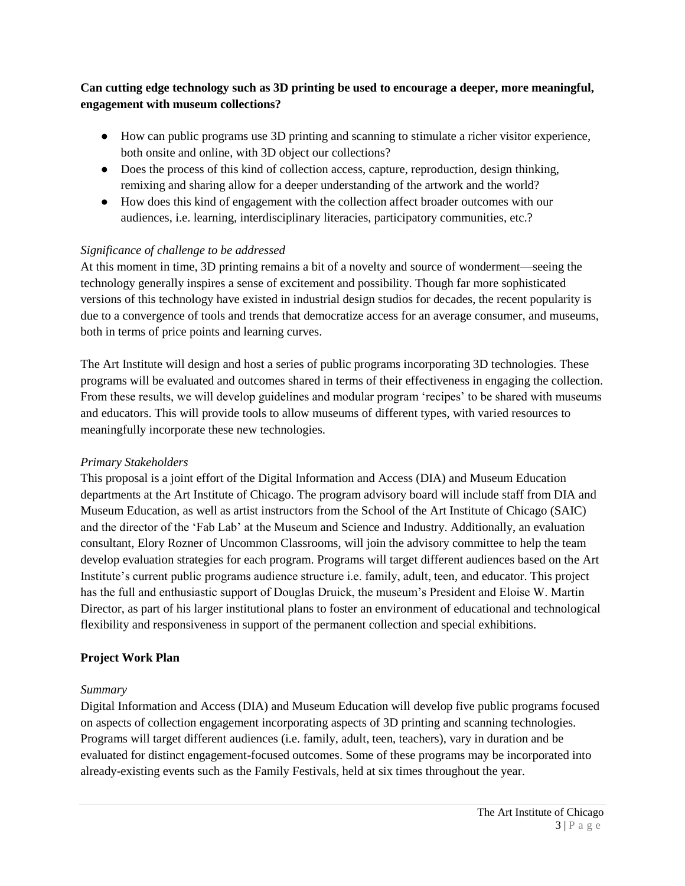## **Can cutting edge technology such as 3D printing be used to encourage a deeper, more meaningful, engagement with museum collections?**

- How can public programs use 3D printing and scanning to stimulate a richer visitor experience, both onsite and online, with 3D object our collections?
- Does the process of this kind of collection access, capture, reproduction, design thinking, remixing and sharing allow for a deeper understanding of the artwork and the world?
- How does this kind of engagement with the collection affect broader outcomes with our audiences, i.e. learning, interdisciplinary literacies, participatory communities, etc.?

### *Significance of challenge to be addressed*

At this moment in time, 3D printing remains a bit of a novelty and source of wonderment—seeing the technology generally inspires a sense of excitement and possibility. Though far more sophisticated versions of this technology have existed in industrial design studios for decades, the recent popularity is due to a convergence of tools and trends that democratize access for an average consumer, and museums, both in terms of price points and learning curves.

The Art Institute will design and host a series of public programs incorporating 3D technologies. These programs will be evaluated and outcomes shared in terms of their effectiveness in engaging the collection. From these results, we will develop guidelines and modular program 'recipes' to be shared with museums and educators. This will provide tools to allow museums of different types, with varied resources to meaningfully incorporate these new technologies.

### *Primary Stakeholders*

This proposal is a joint effort of the Digital Information and Access (DIA) and Museum Education departments at the Art Institute of Chicago. The program advisory board will include staff from DIA and Museum Education, as well as artist instructors from the School of the Art Institute of Chicago (SAIC) and the director of the 'Fab Lab' at the Museum and Science and Industry. Additionally, an evaluation consultant, Elory Rozner of Uncommon Classrooms, will join the advisory committee to help the team develop evaluation strategies for each program. Programs will target different audiences based on the Art Institute's current public programs audience structure i.e. family, adult, teen, and educator. This project has the full and enthusiastic support of Douglas Druick, the museum's President and Eloise W. Martin Director, as part of his larger institutional plans to foster an environment of educational and technological flexibility and responsiveness in support of the permanent collection and special exhibitions.

### **Project Work Plan**

#### *Summary*

Digital Information and Access (DIA) and Museum Education will develop five public programs focused on aspects of collection engagement incorporating aspects of 3D printing and scanning technologies. Programs will target different audiences (i.e. family, adult, teen, teachers), vary in duration and be evaluated for distinct engagement-focused outcomes. Some of these programs may be incorporated into already-existing events such as the Family Festivals, held at six times throughout the year.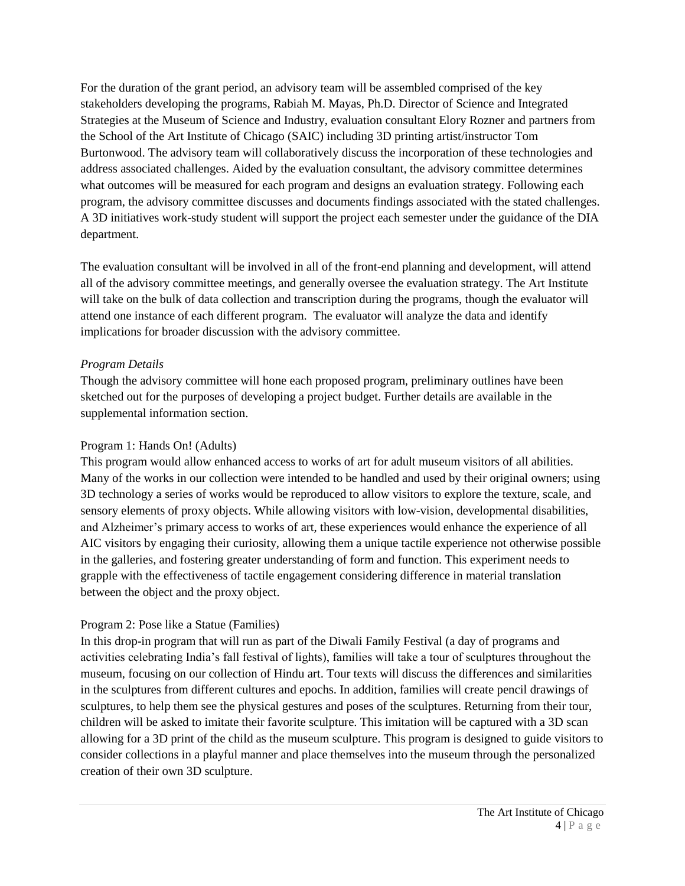For the duration of the grant period, an advisory team will be assembled comprised of the key stakeholders developing the programs, Rabiah M. Mayas, Ph.D. Director of Science and Integrated Strategies at the Museum of Science and Industry, evaluation consultant Elory Rozner and partners from the School of the Art Institute of Chicago (SAIC) including 3D printing artist/instructor Tom Burtonwood. The advisory team will collaboratively discuss the incorporation of these technologies and address associated challenges. Aided by the evaluation consultant, the advisory committee determines what outcomes will be measured for each program and designs an evaluation strategy. Following each program, the advisory committee discusses and documents findings associated with the stated challenges. A 3D initiatives work-study student will support the project each semester under the guidance of the DIA department.

The evaluation consultant will be involved in all of the front-end planning and development, will attend all of the advisory committee meetings, and generally oversee the evaluation strategy. The Art Institute will take on the bulk of data collection and transcription during the programs, though the evaluator will attend one instance of each different program. The evaluator will analyze the data and identify implications for broader discussion with the advisory committee.

### *Program Details*

Though the advisory committee will hone each proposed program, preliminary outlines have been sketched out for the purposes of developing a project budget. Further details are available in the supplemental information section.

#### Program 1: Hands On! (Adults)

This program would allow enhanced access to works of art for adult museum visitors of all abilities. Many of the works in our collection were intended to be handled and used by their original owners; using 3D technology a series of works would be reproduced to allow visitors to explore the texture, scale, and sensory elements of proxy objects. While allowing visitors with low-vision, developmental disabilities, and Alzheimer's primary access to works of art, these experiences would enhance the experience of all AIC visitors by engaging their curiosity, allowing them a unique tactile experience not otherwise possible in the galleries, and fostering greater understanding of form and function. This experiment needs to grapple with the effectiveness of tactile engagement considering difference in material translation between the object and the proxy object.

### Program 2: Pose like a Statue (Families)

In this drop-in program that will run as part of the Diwali Family Festival (a day of programs and activities celebrating India's fall festival of lights), families will take a tour of sculptures throughout the museum, focusing on our collection of Hindu art. Tour texts will discuss the differences and similarities in the sculptures from different cultures and epochs. In addition, families will create pencil drawings of sculptures, to help them see the physical gestures and poses of the sculptures. Returning from their tour, children will be asked to imitate their favorite sculpture. This imitation will be captured with a 3D scan allowing for a 3D print of the child as the museum sculpture. This program is designed to guide visitors to consider collections in a playful manner and place themselves into the museum through the personalized creation of their own 3D sculpture.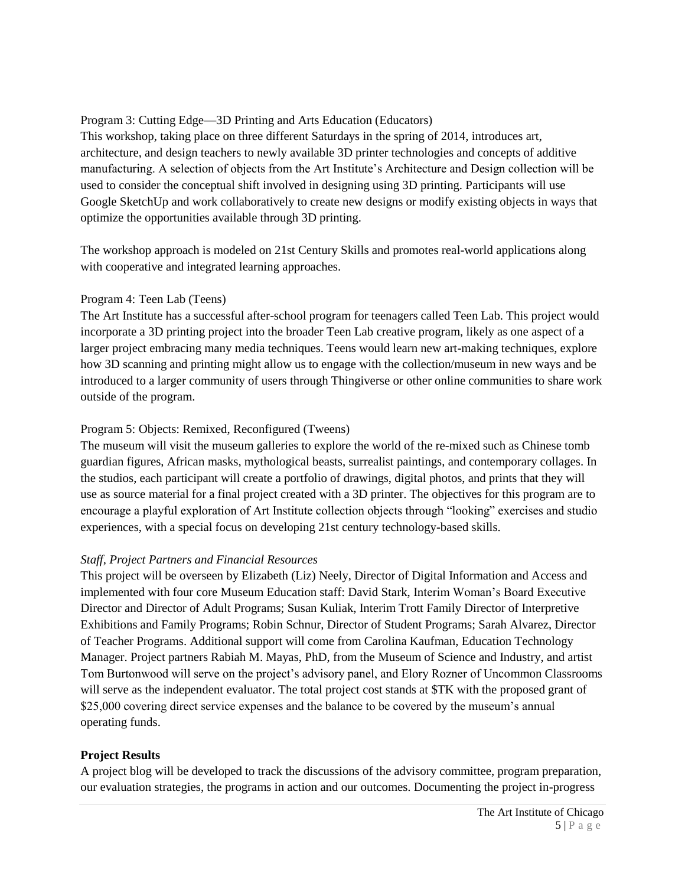## Program 3: Cutting Edge—3D Printing and Arts Education (Educators)

This workshop, taking place on three different Saturdays in the spring of 2014, introduces art, architecture, and design teachers to newly available 3D printer technologies and concepts of additive manufacturing. A selection of objects from the Art Institute's Architecture and Design collection will be used to consider the conceptual shift involved in designing using 3D printing. Participants will use Google SketchUp and work collaboratively to create new designs or modify existing objects in ways that optimize the opportunities available through 3D printing.

The workshop approach is modeled on 21st Century Skills and promotes real-world applications along with cooperative and integrated learning approaches.

### Program 4: Teen Lab (Teens)

The Art Institute has a successful after-school program for teenagers called Teen Lab. This project would incorporate a 3D printing project into the broader Teen Lab creative program, likely as one aspect of a larger project embracing many media techniques. Teens would learn new art-making techniques, explore how 3D scanning and printing might allow us to engage with the collection/museum in new ways and be introduced to a larger community of users through Thingiverse or other online communities to share work outside of the program.

### Program 5: Objects: Remixed, Reconfigured (Tweens)

The museum will visit the museum galleries to explore the world of the re-mixed such as Chinese tomb guardian figures, African masks, mythological beasts, surrealist paintings, and contemporary collages. In the studios, each participant will create a portfolio of drawings, digital photos, and prints that they will use as source material for a final project created with a 3D printer. The objectives for this program are to encourage a playful exploration of Art Institute collection objects through "looking" exercises and studio experiences, with a special focus on developing 21st century technology-based skills.

### *Staff, Project Partners and Financial Resources*

This project will be overseen by Elizabeth (Liz) Neely, Director of Digital Information and Access and implemented with four core Museum Education staff: David Stark, Interim Woman's Board Executive Director and Director of Adult Programs; Susan Kuliak, Interim Trott Family Director of Interpretive Exhibitions and Family Programs; Robin Schnur, Director of Student Programs; Sarah Alvarez, Director of Teacher Programs. Additional support will come from Carolina Kaufman, Education Technology Manager. Project partners Rabiah M. Mayas, PhD, from the Museum of Science and Industry, and artist Tom Burtonwood will serve on the project's advisory panel, and Elory Rozner of Uncommon Classrooms will serve as the independent evaluator. The total project cost stands at  $T<sub>K</sub>$  with the proposed grant of \$25,000 covering direct service expenses and the balance to be covered by the museum's annual operating funds.

### **Project Results**

A project blog will be developed to track the discussions of the advisory committee, program preparation, our evaluation strategies, the programs in action and our outcomes. Documenting the project in-progress